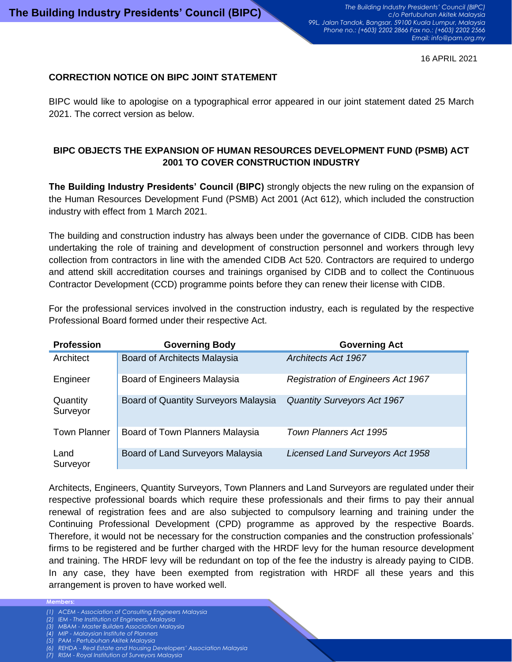16 APRIL 2021

## **CORRECTION NOTICE ON BIPC JOINT STATEMENT**

BIPC would like to apologise on a typographical error appeared in our joint statement dated 25 March 2021. The correct version as below.

## **BIPC OBJECTS THE EXPANSION OF HUMAN RESOURCES DEVELOPMENT FUND (PSMB) ACT 2001 TO COVER CONSTRUCTION INDUSTRY**

**The Building Industry Presidents' Council (BIPC)** strongly objects the new ruling on the expansion of the Human Resources Development Fund (PSMB) Act 2001 (Act 612), which included the construction industry with effect from 1 March 2021.

The building and construction industry has always been under the governance of CIDB. CIDB has been undertaking the role of training and development of construction personnel and workers through levy collection from contractors in line with the amended CIDB Act 520. Contractors are required to undergo and attend skill accreditation courses and trainings organised by CIDB and to collect the Continuous Contractor Development (CCD) programme points before they can renew their license with CIDB.

For the professional services involved in the construction industry, each is regulated by the respective Professional Board formed under their respective Act.

| <b>Profession</b>    | <b>Governing Body</b>                | <b>Governing Act</b>                      |
|----------------------|--------------------------------------|-------------------------------------------|
| Architect            | <b>Board of Architects Malaysia</b>  | <b>Architects Act 1967</b>                |
| Engineer             | Board of Engineers Malaysia          | <b>Registration of Engineers Act 1967</b> |
| Quantity<br>Surveyor | Board of Quantity Surveyors Malaysia | <b>Quantity Surveyors Act 1967</b>        |
| <b>Town Planner</b>  | Board of Town Planners Malaysia      | <b>Town Planners Act 1995</b>             |
| Land<br>Surveyor     | Board of Land Surveyors Malaysia     | Licensed Land Surveyors Act 1958          |

Architects, Engineers, Quantity Surveyors, Town Planners and Land Surveyors are regulated under their respective professional boards which require these professionals and their firms to pay their annual renewal of registration fees and are also subjected to compulsory learning and training under the Continuing Professional Development (CPD) programme as approved by the respective Boards. Therefore, it would not be necessary for the construction companies and the construction professionals' firms to be registered and be further charged with the HRDF levy for the human resource development and training. The HRDF levy will be redundant on top of the fee the industry is already paying to CIDB. In any case, they have been exempted from registration with HRDF all these years and this arrangement is proven to have worked well.

**Members:**

- *(1) ACEM - Association of Consulting Engineers Malaysia*
- *(2) IEM - The Institution of Engineers, Malaysia*
- *(3) MBAM - Master Builders Association Malaysia (4) MIP - Malaysian Institute of Planners*
- *(5) PAM - Pertubuhan Akitek Malaysia*
- *(6) REHDA - Real Estate and Housing Developers' Association Malaysia*
- *(7) RISM - Royal Institution of Surveyors Malaysia*